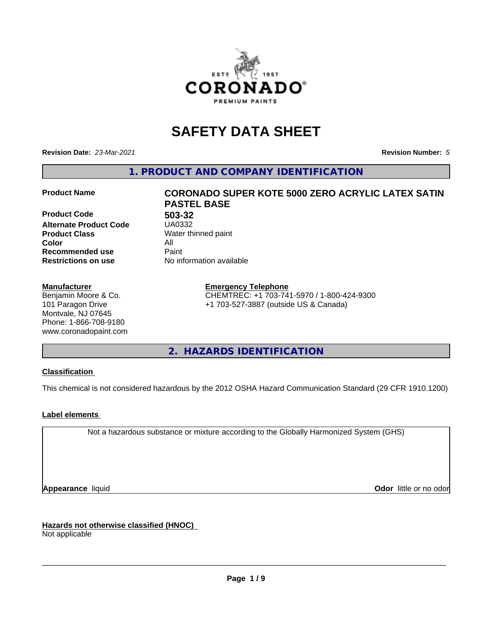

# **SAFETY DATA SHEET**

**Revision Date:** *23-Mar-2021* **Revision Number:** *5*

**1. PRODUCT AND COMPANY IDENTIFICATION**

**Product Code 503-32 Alternate Product Code Product Class** Water thinned paint<br> **Color** All **Color** All **Recommended use Caint Restrictions on use** No information available

#### **Manufacturer**

Benjamin Moore & Co. 101 Paragon Drive Montvale, NJ 07645 Phone: 1-866-708-9180 www.coronadopaint.com

# **Product Name CORONADO SUPER KOTE 5000 ZERO ACRYLIC LATEX SATIN PASTEL BASE**

**Emergency Telephone** CHEMTREC: +1 703-741-5970 / 1-800-424-9300 +1 703-527-3887 (outside US & Canada)

**2. HAZARDS IDENTIFICATION**

# **Classification**

This chemical is not considered hazardous by the 2012 OSHA Hazard Communication Standard (29 CFR 1910.1200)

# **Label elements**

Not a hazardous substance or mixture according to the Globally Harmonized System (GHS)

**Appearance** liquid **Contract Contract Contract Contract Contract Contract Contract Contract Contract Contract Contract Contract Contract Contract Contract Contract Contract Contract Contract Contract Contract Contract Con** 

**Hazards not otherwise classified (HNOC)**

Not applicable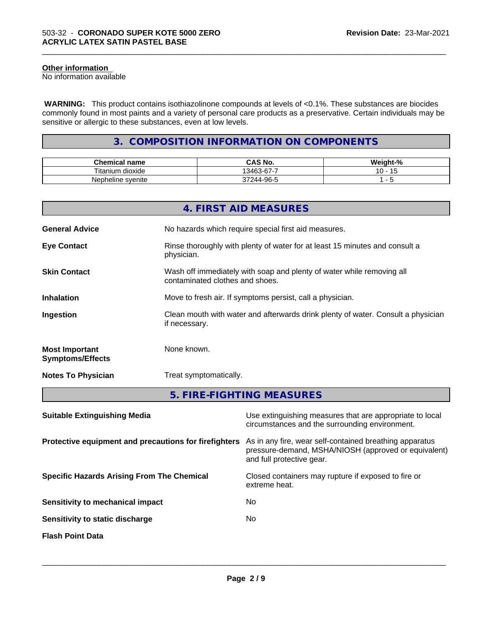# **Other information**

No information available

 **WARNING:** This product contains isothiazolinone compounds at levels of <0.1%. These substances are biocides commonly found in most paints and a variety of personal care products as a preservative. Certain individuals may be sensitive or allergic to these substances, even at low levels.

\_\_\_\_\_\_\_\_\_\_\_\_\_\_\_\_\_\_\_\_\_\_\_\_\_\_\_\_\_\_\_\_\_\_\_\_\_\_\_\_\_\_\_\_\_\_\_\_\_\_\_\_\_\_\_\_\_\_\_\_\_\_\_\_\_\_\_\_\_\_\_\_\_\_\_\_\_\_\_\_\_\_\_\_\_\_\_\_\_\_\_\_\_

# **3. COMPOSITION INFORMATION ON COMPONENTS**

| ---<br>'hemical name<br>u            | CAS No.                                         | $\mathbf{r}$<br>- 70 |
|--------------------------------------|-------------------------------------------------|----------------------|
| $- \cdot$ .<br>⊺itanium<br>. dioxide | $\sim$<br>-<br>13463<br>.<br>.                  |                      |
| Nepheline syenite                    | -96-5<br>$\overline{\phantom{a}}$<br>14 L<br>טי |                      |

|                                                  | 4. FIRST AID MEASURES                                                                                    |
|--------------------------------------------------|----------------------------------------------------------------------------------------------------------|
| <b>General Advice</b>                            | No hazards which require special first aid measures.                                                     |
| <b>Eye Contact</b>                               | Rinse thoroughly with plenty of water for at least 15 minutes and consult a<br>physician.                |
| <b>Skin Contact</b>                              | Wash off immediately with soap and plenty of water while removing all<br>contaminated clothes and shoes. |
| <b>Inhalation</b>                                | Move to fresh air. If symptoms persist, call a physician.                                                |
| Ingestion                                        | Clean mouth with water and afterwards drink plenty of water. Consult a physician<br>if necessary.        |
| <b>Most Important</b><br><b>Symptoms/Effects</b> | None known.                                                                                              |
| <b>Notes To Physician</b>                        | Treat symptomatically.                                                                                   |
|                                                  | 5. FIRE-FIGHTING MEASURES                                                                                |

| <b>Suitable Extinguishing Media</b>                   | Use extinguishing measures that are appropriate to local<br>circumstances and the surrounding environment.                                   |
|-------------------------------------------------------|----------------------------------------------------------------------------------------------------------------------------------------------|
| Protective equipment and precautions for firefighters | As in any fire, wear self-contained breathing apparatus<br>pressure-demand, MSHA/NIOSH (approved or equivalent)<br>and full protective gear. |
| <b>Specific Hazards Arising From The Chemical</b>     | Closed containers may rupture if exposed to fire or<br>extreme heat.                                                                         |
| Sensitivity to mechanical impact                      | No.                                                                                                                                          |
| Sensitivity to static discharge                       | No.                                                                                                                                          |
| <b>Flash Point Data</b>                               |                                                                                                                                              |
|                                                       |                                                                                                                                              |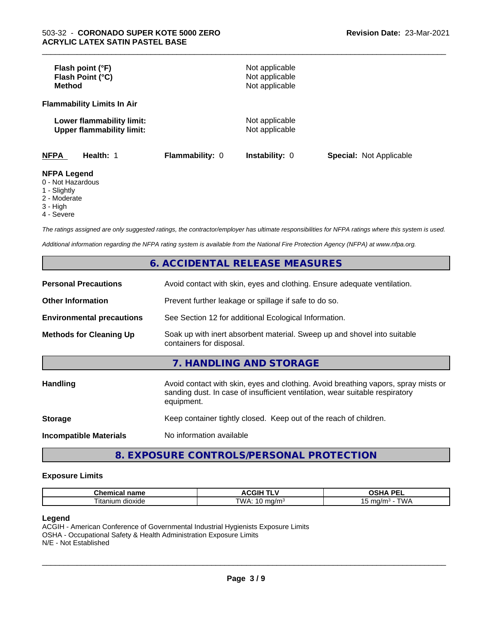| Flash point (°F)<br>Flash Point (°C)<br><b>Method</b>                |                        | Not applicable<br>Not applicable<br>Not applicable |                                |
|----------------------------------------------------------------------|------------------------|----------------------------------------------------|--------------------------------|
| <b>Flammability Limits In Air</b>                                    |                        |                                                    |                                |
| Lower flammability limit:<br><b>Upper flammability limit:</b>        |                        | Not applicable<br>Not applicable                   |                                |
| <b>NFPA</b><br>Health: 1                                             | <b>Flammability: 0</b> | <b>Instability: 0</b>                              | <b>Special: Not Applicable</b> |
| <b>NFPA Legend</b><br>0 - Not Hazardous<br>$\overline{A}$ Clientable |                        |                                                    |                                |

\_\_\_\_\_\_\_\_\_\_\_\_\_\_\_\_\_\_\_\_\_\_\_\_\_\_\_\_\_\_\_\_\_\_\_\_\_\_\_\_\_\_\_\_\_\_\_\_\_\_\_\_\_\_\_\_\_\_\_\_\_\_\_\_\_\_\_\_\_\_\_\_\_\_\_\_\_\_\_\_\_\_\_\_\_\_\_\_\_\_\_\_\_

# 1 - Slightly

- 2 Moderate
- 3 High
- 

4 - Severe

*The ratings assigned are only suggested ratings, the contractor/employer has ultimate responsibilities for NFPA ratings where this system is used.*

*Additional information regarding the NFPA rating system is available from the National Fire Protection Agency (NFPA) at www.nfpa.org.*

# **6. ACCIDENTAL RELEASE MEASURES**

| <b>Personal Precautions</b>      | Avoid contact with skin, eyes and clothing. Ensure adequate ventilation.                                                                                                         |
|----------------------------------|----------------------------------------------------------------------------------------------------------------------------------------------------------------------------------|
| <b>Other Information</b>         | Prevent further leakage or spillage if safe to do so.                                                                                                                            |
| <b>Environmental precautions</b> | See Section 12 for additional Ecological Information.                                                                                                                            |
| <b>Methods for Cleaning Up</b>   | Soak up with inert absorbent material. Sweep up and shovel into suitable<br>containers for disposal.                                                                             |
|                                  | 7. HANDLING AND STORAGE                                                                                                                                                          |
| Handling                         | Avoid contact with skin, eyes and clothing. Avoid breathing vapors, spray mists or<br>sanding dust. In case of insufficient ventilation, wear suitable respiratory<br>equipment. |
| <b>Storage</b>                   | Keep container tightly closed. Keep out of the reach of children.                                                                                                                |
| <b>Incompatible Materials</b>    | No information available                                                                                                                                                         |

# **8. EXPOSURE CONTROLS/PERSONAL PROTECTION**

#### **Exposure Limits**

| name<br>⊸nemicai <del>r</del>  | л.<br>---        | <b>DE</b><br>--                            |
|--------------------------------|------------------|--------------------------------------------|
| $ \sim$<br>dioxide<br>⊣tar<br> | "WA:<br>…ia/m∘ i | <b>TIAII</b><br>mo<br>nQ/r<br>v v z<br>. . |

#### **Legend**

ACGIH - American Conference of Governmental Industrial Hygienists Exposure Limits OSHA - Occupational Safety & Health Administration Exposure Limits N/E - Not Established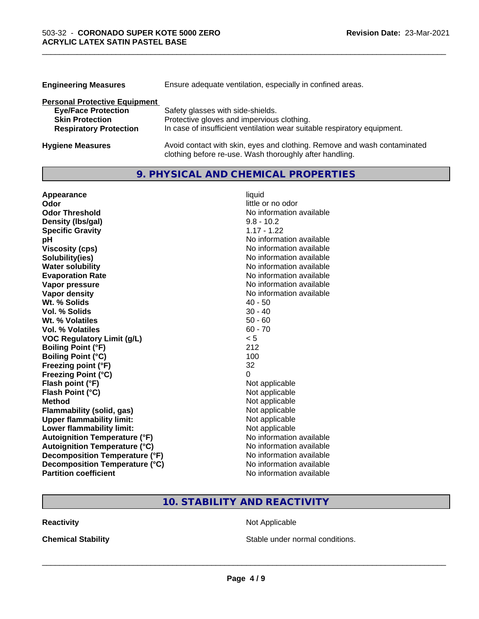| <b>Engineering Measures</b>          | Ensure adequate ventilation, especially in confined areas.               |  |
|--------------------------------------|--------------------------------------------------------------------------|--|
| <b>Personal Protective Equipment</b> |                                                                          |  |
| <b>Eye/Face Protection</b>           | Safety glasses with side-shields.                                        |  |
| <b>Skin Protection</b>               | Protective gloves and impervious clothing.                               |  |
| <b>Respiratory Protection</b>        | In case of insufficient ventilation wear suitable respiratory equipment. |  |
| <b>Hygiene Measures</b>              | Avoid contact with skin, eyes and clothing. Remove and wash contaminated |  |

clothing before re-use. Wash thoroughly after handling.

\_\_\_\_\_\_\_\_\_\_\_\_\_\_\_\_\_\_\_\_\_\_\_\_\_\_\_\_\_\_\_\_\_\_\_\_\_\_\_\_\_\_\_\_\_\_\_\_\_\_\_\_\_\_\_\_\_\_\_\_\_\_\_\_\_\_\_\_\_\_\_\_\_\_\_\_\_\_\_\_\_\_\_\_\_\_\_\_\_\_\_\_\_

# **9. PHYSICAL AND CHEMICAL PROPERTIES**

| Appearance                           | liquid                   |
|--------------------------------------|--------------------------|
| Odor                                 | little or no odor        |
| <b>Odor Threshold</b>                | No information available |
| Density (Ibs/gal)                    | $9.8 - 10.2$             |
| <b>Specific Gravity</b>              | $1.17 - 1.22$            |
| рH                                   | No information available |
| <b>Viscosity (cps)</b>               | No information available |
| Solubility(ies)                      | No information available |
| <b>Water solubility</b>              | No information available |
| <b>Evaporation Rate</b>              | No information available |
| Vapor pressure                       | No information available |
| Vapor density                        | No information available |
| Wt. % Solids                         | $40 - 50$                |
| <b>Vol. % Solids</b>                 | $30 - 40$                |
| Wt. % Volatiles                      | $50 - 60$                |
| Vol. % Volatiles                     | $60 - 70$                |
| <b>VOC Regulatory Limit (g/L)</b>    | < 5                      |
| <b>Boiling Point (°F)</b>            | 212                      |
| <b>Boiling Point (°C)</b>            | 100                      |
| Freezing point (°F)                  | 32                       |
| <b>Freezing Point (°C)</b>           | 0                        |
| Flash point (°F)                     | Not applicable           |
| Flash Point (°C)                     | Not applicable           |
| <b>Method</b>                        | Not applicable           |
| <b>Flammability (solid, gas)</b>     | Not applicable           |
| <b>Upper flammability limit:</b>     | Not applicable           |
| Lower flammability limit:            | Not applicable           |
| <b>Autoignition Temperature (°F)</b> | No information available |
| <b>Autoignition Temperature (°C)</b> | No information available |
| Decomposition Temperature (°F)       | No information available |
| Decomposition Temperature (°C)       | No information available |
| <b>Partition coefficient</b>         | No information available |

# **10. STABILITY AND REACTIVITY**

**Reactivity Not Applicable** Not Applicable

**Chemical Stability Chemical Stability** Stable under normal conditions.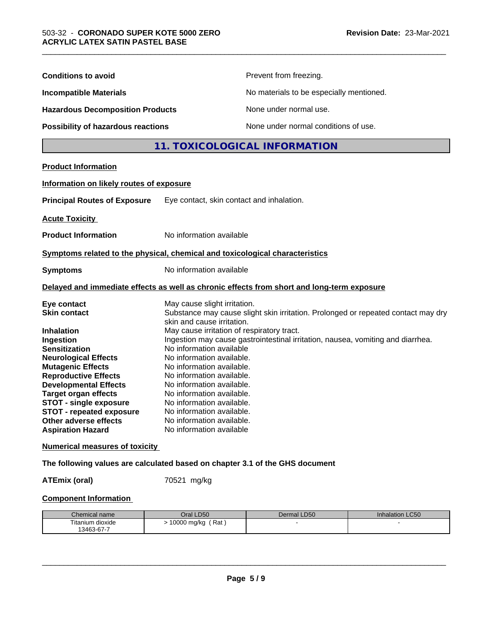| <b>Conditions to avoid</b>                                                                                                                                                                                                                                                                                                                                                                                                                                                                                                      |                                                                                                                                                                                                                                                                                                                                                                                                                        | Prevent from freezing.                                                                                                                                               |                 |
|---------------------------------------------------------------------------------------------------------------------------------------------------------------------------------------------------------------------------------------------------------------------------------------------------------------------------------------------------------------------------------------------------------------------------------------------------------------------------------------------------------------------------------|------------------------------------------------------------------------------------------------------------------------------------------------------------------------------------------------------------------------------------------------------------------------------------------------------------------------------------------------------------------------------------------------------------------------|----------------------------------------------------------------------------------------------------------------------------------------------------------------------|-----------------|
| <b>Incompatible Materials</b><br><b>Hazardous Decomposition Products</b>                                                                                                                                                                                                                                                                                                                                                                                                                                                        |                                                                                                                                                                                                                                                                                                                                                                                                                        | No materials to be especially mentioned.                                                                                                                             |                 |
|                                                                                                                                                                                                                                                                                                                                                                                                                                                                                                                                 |                                                                                                                                                                                                                                                                                                                                                                                                                        | None under normal use.                                                                                                                                               |                 |
| Possibility of hazardous reactions                                                                                                                                                                                                                                                                                                                                                                                                                                                                                              |                                                                                                                                                                                                                                                                                                                                                                                                                        | None under normal conditions of use.                                                                                                                                 |                 |
|                                                                                                                                                                                                                                                                                                                                                                                                                                                                                                                                 |                                                                                                                                                                                                                                                                                                                                                                                                                        | 11. TOXICOLOGICAL INFORMATION                                                                                                                                        |                 |
| <b>Product Information</b>                                                                                                                                                                                                                                                                                                                                                                                                                                                                                                      |                                                                                                                                                                                                                                                                                                                                                                                                                        |                                                                                                                                                                      |                 |
| Information on likely routes of exposure                                                                                                                                                                                                                                                                                                                                                                                                                                                                                        |                                                                                                                                                                                                                                                                                                                                                                                                                        |                                                                                                                                                                      |                 |
| <b>Principal Routes of Exposure</b>                                                                                                                                                                                                                                                                                                                                                                                                                                                                                             | Eye contact, skin contact and inhalation.                                                                                                                                                                                                                                                                                                                                                                              |                                                                                                                                                                      |                 |
| <b>Acute Toxicity</b>                                                                                                                                                                                                                                                                                                                                                                                                                                                                                                           |                                                                                                                                                                                                                                                                                                                                                                                                                        |                                                                                                                                                                      |                 |
| <b>Product Information</b>                                                                                                                                                                                                                                                                                                                                                                                                                                                                                                      | No information available                                                                                                                                                                                                                                                                                                                                                                                               |                                                                                                                                                                      |                 |
| Symptoms related to the physical, chemical and toxicological characteristics                                                                                                                                                                                                                                                                                                                                                                                                                                                    |                                                                                                                                                                                                                                                                                                                                                                                                                        |                                                                                                                                                                      |                 |
| <b>Symptoms</b>                                                                                                                                                                                                                                                                                                                                                                                                                                                                                                                 | No information available                                                                                                                                                                                                                                                                                                                                                                                               |                                                                                                                                                                      |                 |
| Delayed and immediate effects as well as chronic effects from short and long-term exposure                                                                                                                                                                                                                                                                                                                                                                                                                                      |                                                                                                                                                                                                                                                                                                                                                                                                                        |                                                                                                                                                                      |                 |
| Eye contact<br><b>Skin contact</b><br><b>Inhalation</b><br>Ingestion<br><b>Sensitization</b><br><b>Neurological Effects</b><br><b>Mutagenic Effects</b><br><b>Reproductive Effects</b><br><b>Developmental Effects</b><br><b>Target organ effects</b><br><b>STOT - single exposure</b><br><b>STOT - repeated exposure</b><br>Other adverse effects<br><b>Aspiration Hazard</b><br><b>Numerical measures of toxicity</b><br>The following values are calculated based on chapter 3.1 of the GHS document<br><b>ATEmix (oral)</b> | May cause slight irritation.<br>skin and cause irritation.<br>May cause irritation of respiratory tract.<br>No information available<br>No information available.<br>No information available.<br>No information available.<br>No information available.<br>No information available.<br>No information available.<br>No information available<br>No information available.<br>No information available<br>70521 mg/kg | Substance may cause slight skin irritation. Prolonged or repeated contact may dry<br>Ingestion may cause gastrointestinal irritation, nausea, vomiting and diarrhea. |                 |
| <b>Component Information</b>                                                                                                                                                                                                                                                                                                                                                                                                                                                                                                    |                                                                                                                                                                                                                                                                                                                                                                                                                        |                                                                                                                                                                      |                 |
| Chemical name                                                                                                                                                                                                                                                                                                                                                                                                                                                                                                                   | Oral LD50                                                                                                                                                                                                                                                                                                                                                                                                              | Dermal LD50                                                                                                                                                          | Inhalation LC50 |
| Titanium dioxide<br>13463-67-7                                                                                                                                                                                                                                                                                                                                                                                                                                                                                                  | > 10000 mg/kg (Rat)                                                                                                                                                                                                                                                                                                                                                                                                    |                                                                                                                                                                      |                 |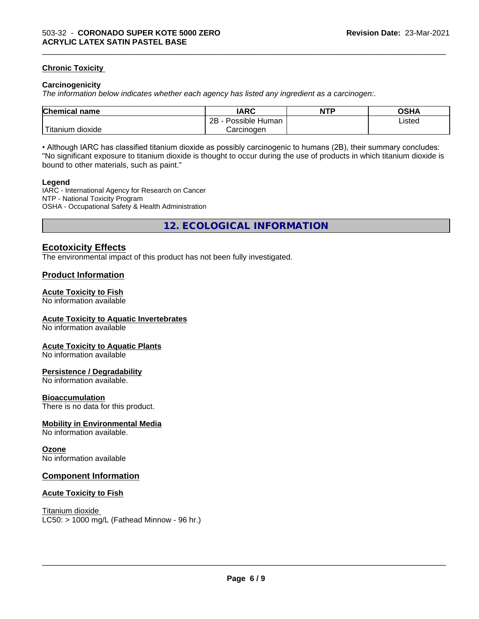### **Chronic Toxicity**

#### **Carcinogenicity**

*The information below indicateswhether each agency has listed any ingredient as a carcinogen:.*

| <b>Chemical</b><br>name    | <b>IARC</b>                    | <b>NTP</b> | OSHA   |
|----------------------------|--------------------------------|------------|--------|
|                            | . .<br>2B<br>Human<br>Possible |            | Listed |
| .<br>. dioxide<br>⊺itanium | Carcinogen                     |            |        |

\_\_\_\_\_\_\_\_\_\_\_\_\_\_\_\_\_\_\_\_\_\_\_\_\_\_\_\_\_\_\_\_\_\_\_\_\_\_\_\_\_\_\_\_\_\_\_\_\_\_\_\_\_\_\_\_\_\_\_\_\_\_\_\_\_\_\_\_\_\_\_\_\_\_\_\_\_\_\_\_\_\_\_\_\_\_\_\_\_\_\_\_\_

• Although IARC has classified titanium dioxide as possibly carcinogenic to humans (2B), their summary concludes: "No significant exposure to titanium dioxide is thought to occur during the use of products in which titanium dioxide is bound to other materials, such as paint."

#### **Legend**

IARC - International Agency for Research on Cancer NTP - National Toxicity Program OSHA - Occupational Safety & Health Administration

**12. ECOLOGICAL INFORMATION**

# **Ecotoxicity Effects**

The environmental impact of this product has not been fully investigated.

# **Product Information**

#### **Acute Toxicity to Fish**

No information available

#### **Acute Toxicity to Aquatic Invertebrates**

No information available

#### **Acute Toxicity to Aquatic Plants**

No information available

#### **Persistence / Degradability**

No information available.

#### **Bioaccumulation**

There is no data for this product.

#### **Mobility in Environmental Media**

No information available.

#### **Ozone**

No information available

#### **Component Information**

#### **Acute Toxicity to Fish**

Titanium dioxide  $LC50:$  > 1000 mg/L (Fathead Minnow - 96 hr.)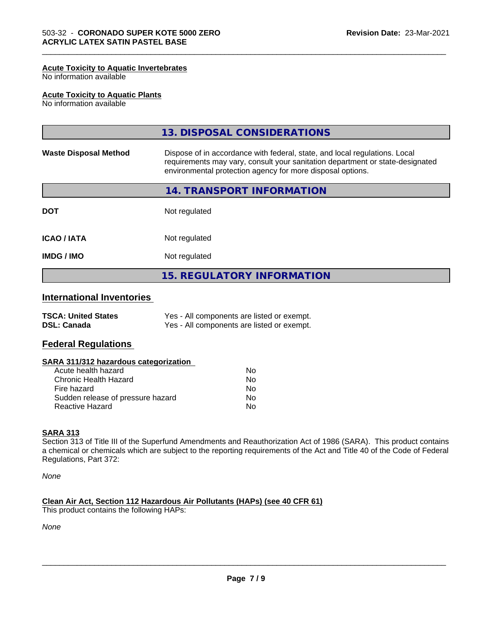#### **Acute Toxicity to Aquatic Invertebrates**

No information available

#### **Acute Toxicity to Aquatic Plants**

No information available

|                              | 13. DISPOSAL CONSIDERATIONS                                                                                                                                                                                               |
|------------------------------|---------------------------------------------------------------------------------------------------------------------------------------------------------------------------------------------------------------------------|
| <b>Waste Disposal Method</b> | Dispose of in accordance with federal, state, and local regulations. Local<br>requirements may vary, consult your sanitation department or state-designated<br>environmental protection agency for more disposal options. |
|                              | 14. TRANSPORT INFORMATION                                                                                                                                                                                                 |
| <b>DOT</b>                   | Not regulated                                                                                                                                                                                                             |
| <b>ICAO/IATA</b>             | Not regulated                                                                                                                                                                                                             |
| <b>IMDG / IMO</b>            | Not regulated                                                                                                                                                                                                             |
|                              | <b>15. REGULATORY INFORMATION</b>                                                                                                                                                                                         |

\_\_\_\_\_\_\_\_\_\_\_\_\_\_\_\_\_\_\_\_\_\_\_\_\_\_\_\_\_\_\_\_\_\_\_\_\_\_\_\_\_\_\_\_\_\_\_\_\_\_\_\_\_\_\_\_\_\_\_\_\_\_\_\_\_\_\_\_\_\_\_\_\_\_\_\_\_\_\_\_\_\_\_\_\_\_\_\_\_\_\_\_\_

# **International Inventories**

| <b>TSCA: United States</b> | Yes - All components are listed or exempt. |
|----------------------------|--------------------------------------------|
| <b>DSL: Canada</b>         | Yes - All components are listed or exempt. |

# **Federal Regulations**

#### **SARA 311/312 hazardous categorization**

| Acute health hazard               | No. |  |
|-----------------------------------|-----|--|
| Chronic Health Hazard             | Nο  |  |
| Fire hazard                       | N٥  |  |
| Sudden release of pressure hazard | Nο  |  |
| Reactive Hazard                   | Nο  |  |

#### **SARA 313**

Section 313 of Title III of the Superfund Amendments and Reauthorization Act of 1986 (SARA). This product contains a chemical or chemicals which are subject to the reporting requirements of the Act and Title 40 of the Code of Federal Regulations, Part 372:

*None*

#### **Clean Air Act,Section 112 Hazardous Air Pollutants (HAPs) (see 40 CFR 61)**

This product contains the following HAPs:

*None*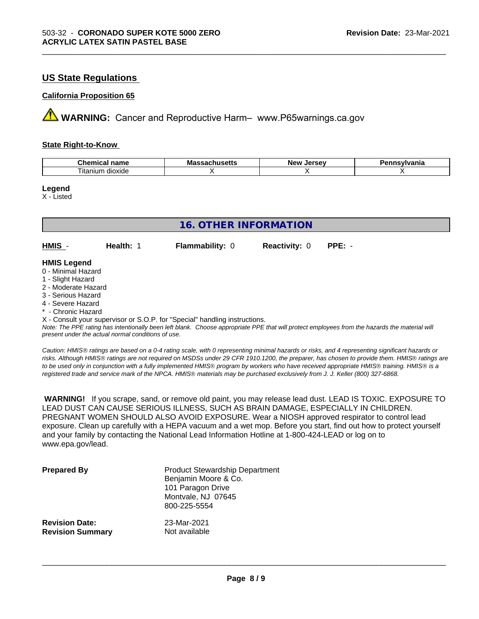# **US State Regulations**

#### **California Proposition 65**

**A** WARNING: Cancer and Reproductive Harm– www.P65warnings.ca.gov

#### **State Right-to-Know**

| ъ.<br>$ -$<br>$n_{max}$<br>nemical<br>name<br>.            | Ma<br>пиэспэ<br>. | Iarcav<br>Ne'<br>--<br>-35 | /Ivania |
|------------------------------------------------------------|-------------------|----------------------------|---------|
| $\overline{\phantom{a}}$<br>$\sim$<br>dioxide<br>, itanıum |                   |                            |         |

\_\_\_\_\_\_\_\_\_\_\_\_\_\_\_\_\_\_\_\_\_\_\_\_\_\_\_\_\_\_\_\_\_\_\_\_\_\_\_\_\_\_\_\_\_\_\_\_\_\_\_\_\_\_\_\_\_\_\_\_\_\_\_\_\_\_\_\_\_\_\_\_\_\_\_\_\_\_\_\_\_\_\_\_\_\_\_\_\_\_\_\_\_

**Legend**

X - Listed

| <b>16. OTHER INFORMATION</b> |           |                                                                            |                      |          |  |
|------------------------------|-----------|----------------------------------------------------------------------------|----------------------|----------|--|
| HMIS -                       | Health: 1 | <b>Flammability: 0</b>                                                     | <b>Reactivity: 0</b> | $PPE: -$ |  |
| <b>HMIS Legend</b>           |           |                                                                            |                      |          |  |
| 0 - Minimal Hazard           |           |                                                                            |                      |          |  |
| 1 - Slight Hazard            |           |                                                                            |                      |          |  |
| 2 - Moderate Hazard          |           |                                                                            |                      |          |  |
| 3 - Serious Hazard           |           |                                                                            |                      |          |  |
| 4 - Severe Hazard            |           |                                                                            |                      |          |  |
| * - Chronic Hazard           |           |                                                                            |                      |          |  |
|                              |           | X - Consult your supervisor or S.O.P. for "Special" handling instructions. |                      |          |  |

*Note: The PPE rating has intentionally been left blank. Choose appropriate PPE that will protect employees from the hazards the material will present under the actual normal conditions of use.*

*Caution: HMISÒ ratings are based on a 0-4 rating scale, with 0 representing minimal hazards or risks, and 4 representing significant hazards or risks. Although HMISÒ ratings are not required on MSDSs under 29 CFR 1910.1200, the preparer, has chosen to provide them. HMISÒ ratings are to be used only in conjunction with a fully implemented HMISÒ program by workers who have received appropriate HMISÒ training. HMISÒ is a registered trade and service mark of the NPCA. HMISÒ materials may be purchased exclusively from J. J. Keller (800) 327-6868.*

 **WARNING!** If you scrape, sand, or remove old paint, you may release lead dust. LEAD IS TOXIC. EXPOSURE TO LEAD DUST CAN CAUSE SERIOUS ILLNESS, SUCH AS BRAIN DAMAGE, ESPECIALLY IN CHILDREN. PREGNANT WOMEN SHOULD ALSO AVOID EXPOSURE.Wear a NIOSH approved respirator to control lead exposure. Clean up carefully with a HEPA vacuum and a wet mop. Before you start, find out how to protect yourself and your family by contacting the National Lead Information Hotline at 1-800-424-LEAD or log on to www.epa.gov/lead.

| <b>Prepared By</b>      | <b>Product Stewardship Department</b><br>Benjamin Moore & Co.<br>101 Paragon Drive<br>Montvale, NJ 07645<br>800-225-5554 |
|-------------------------|--------------------------------------------------------------------------------------------------------------------------|
| <b>Revision Date:</b>   | 23-Mar-2021                                                                                                              |
| <b>Revision Summary</b> | Not available                                                                                                            |